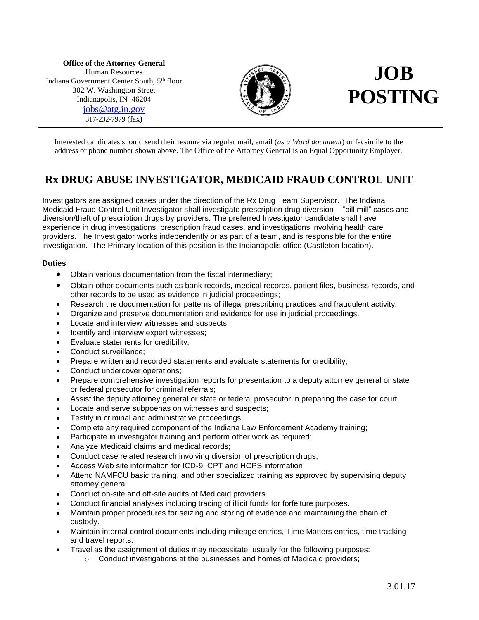**Office of the Attorney General** Human Resources Indiana Government Center South, 5th floor 302 W. Washington Street Indianapolis, IN 46204 [jobs@atg.in.gov](mailto:jobs@atg.in.gov) 317-232-7979 (fax**)**



# **JOB POSTING**

Interested candidates should send their resume via regular mail, email (*as a Word document*) or facsimile to the address or phone number shown above. The Office of the Attorney General is an Equal Opportunity Employer.

# **Rx DRUG ABUSE INVESTIGATOR, MEDICAID FRAUD CONTROL UNIT**

Investigators are assigned cases under the direction of the Rx Drug Team Supervisor. The Indiana Medicaid Fraud Control Unit Investigator shall investigate prescription drug diversion – "pill mill" cases and diversion/theft of prescription drugs by providers. The preferred Investigator candidate shall have experience in drug investigations, prescription fraud cases, and investigations involving health care providers. The Investigator works independently or as part of a team, and is responsible for the entire investigation. The Primary location of this position is the Indianapolis office (Castleton location).

## **Duties**

- Obtain various documentation from the fiscal intermediary;
- Obtain other documents such as bank records, medical records, patient files, business records, and other records to be used as evidence in judicial proceedings;
- Research the documentation for patterns of illegal prescribing practices and fraudulent activity.
- Organize and preserve documentation and evidence for use in judicial proceedings.
- Locate and interview witnesses and suspects;
- Identify and interview expert witnesses;
- Evaluate statements for credibility;
- Conduct surveillance;
- Prepare written and recorded statements and evaluate statements for credibility;
- Conduct undercover operations;
- Prepare comprehensive investigation reports for presentation to a deputy attorney general or state or federal prosecutor for criminal referrals;
- Assist the deputy attorney general or state or federal prosecutor in preparing the case for court;
- Locate and serve subpoenas on witnesses and suspects;
- Testify in criminal and administrative proceedings;
- Complete any required component of the Indiana Law Enforcement Academy training;
- Participate in investigator training and perform other work as required;
- Analyze Medicaid claims and medical records;
- Conduct case related research involving diversion of prescription drugs;
- Access Web site information for ICD-9, CPT and HCPS information.
- Attend NAMFCU basic training, and other specialized training as approved by supervising deputy attorney general.
- Conduct on-site and off-site audits of Medicaid providers.
- Conduct financial analyses including tracing of illicit funds for forfeiture purposes.
- Maintain proper procedures for seizing and storing of evidence and maintaining the chain of custody.
- Maintain internal control documents including mileage entries, Time Matters entries, time tracking and travel reports.
- Travel as the assignment of duties may necessitate, usually for the following purposes:
	- $\circ$  Conduct investigations at the businesses and homes of Medicaid providers;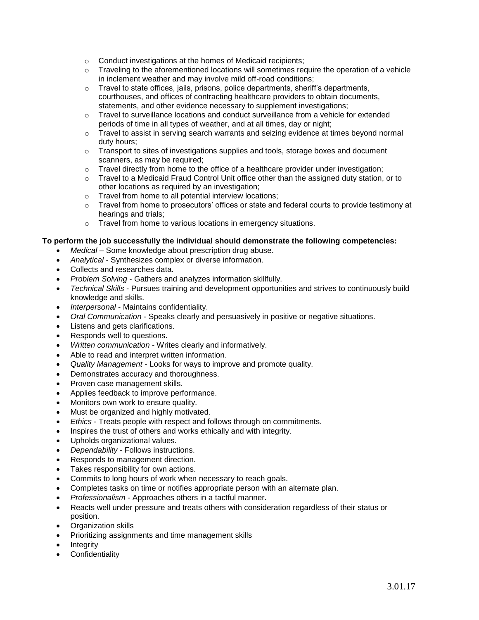- o Conduct investigations at the homes of Medicaid recipients;
- $\circ$  Traveling to the aforementioned locations will sometimes require the operation of a vehicle in inclement weather and may involve mild off-road conditions;
- $\circ$  Travel to state offices, jails, prisons, police departments, sheriff's departments, courthouses, and offices of contracting healthcare providers to obtain documents, statements, and other evidence necessary to supplement investigations;
- $\circ$  Travel to surveillance locations and conduct surveillance from a vehicle for extended periods of time in all types of weather, and at all times, day or night;
- o Travel to assist in serving search warrants and seizing evidence at times beyond normal duty hours;
- o Transport to sites of investigations supplies and tools, storage boxes and document scanners, as may be required;
- o Travel directly from home to the office of a healthcare provider under investigation;
- $\circ$  Travel to a Medicaid Fraud Control Unit office other than the assigned duty station, or to other locations as required by an investigation;
- o Travel from home to all potential interview locations;
- $\circ$  Travel from home to prosecutors' offices or state and federal courts to provide testimony at hearings and trials;
- o Travel from home to various locations in emergency situations.

## **To perform the job successfully the individual should demonstrate the following competencies:**

- *Medical* Some knowledge about prescription drug abuse.
- *Analytical*  Synthesizes complex or diverse information.
- Collects and researches data.
- *Problem Solving*  Gathers and analyzes information skillfully.
- *Technical Skills*  Pursues training and development opportunities and strives to continuously build knowledge and skills.
- *Interpersonal*  Maintains confidentiality.
- *Oral Communication*  Speaks clearly and persuasively in positive or negative situations.
- Listens and gets clarifications.
- Responds well to questions.
- *Written communication*  Writes clearly and informatively.
- Able to read and interpret written information.
- *Quality Management*  Looks for ways to improve and promote quality.
- Demonstrates accuracy and thoroughness.
- Proven case management skills.
- Applies feedback to improve performance.
- Monitors own work to ensure quality.
- Must be organized and highly motivated.
- *Ethics*  Treats people with respect and follows through on commitments.
- Inspires the trust of others and works ethically and with integrity.
- Upholds organizational values.
- *Dependability*  Follows instructions.
- Responds to management direction.
- Takes responsibility for own actions.
- Commits to long hours of work when necessary to reach goals.
- Completes tasks on time or notifies appropriate person with an alternate plan.
- *Professionalism*  Approaches others in a tactful manner.
- Reacts well under pressure and treats others with consideration regardless of their status or position.
- Organization skills
- Prioritizing assignments and time management skills
- Integrity
- Confidentiality